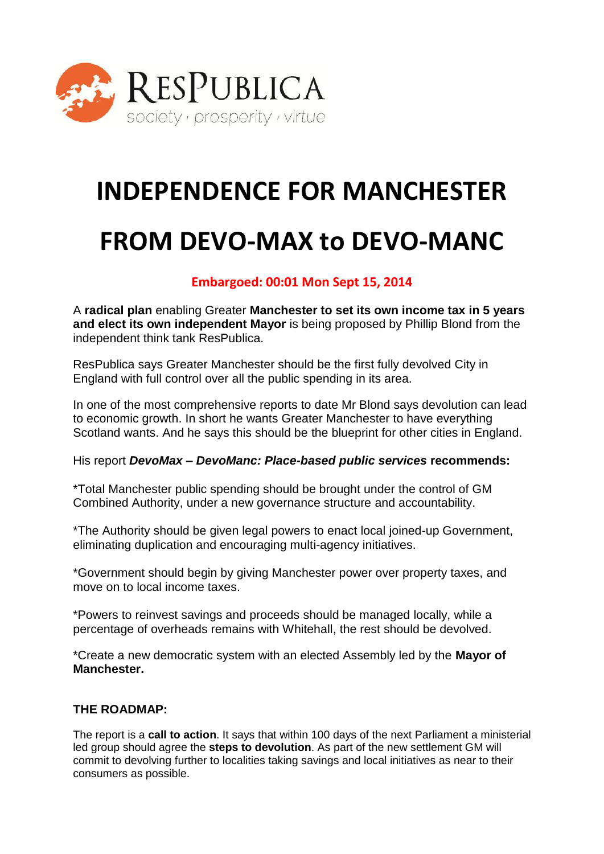

# **INDEPENDENCE FOR MANCHESTER**

## **FROM DEVO-MAX to DEVO-MANC**

### **Embargoed: 00:01 Mon Sept 15, 2014**

A **radical plan** enabling Greater **Manchester to set its own income tax in 5 years and elect its own independent Mayor** is being proposed by Phillip Blond from the independent think tank ResPublica.

ResPublica says Greater Manchester should be the first fully devolved City in England with full control over all the public spending in its area.

In one of the most comprehensive reports to date Mr Blond says devolution can lead to economic growth. In short he wants Greater Manchester to have everything Scotland wants. And he says this should be the blueprint for other cities in England.

His report *DevoMax – DevoManc: Place-based public services* **recommends:** 

\*Total Manchester public spending should be brought under the control of GM Combined Authority, under a new governance structure and accountability.

\*The Authority should be given legal powers to enact local joined-up Government, eliminating duplication and encouraging multi-agency initiatives.

\*Government should begin by giving Manchester power over property taxes, and move on to local income taxes.

\*Powers to reinvest savings and proceeds should be managed locally, while a percentage of overheads remains with Whitehall, the rest should be devolved.

\*Create a new democratic system with an elected Assembly led by the **Mayor of Manchester.**

#### **THE ROADMAP:**

The report is a **call to action**. It says that within 100 days of the next Parliament a ministerial led group should agree the **steps to devolution**. As part of the new settlement GM will commit to devolving further to localities taking savings and local initiatives as near to their consumers as possible.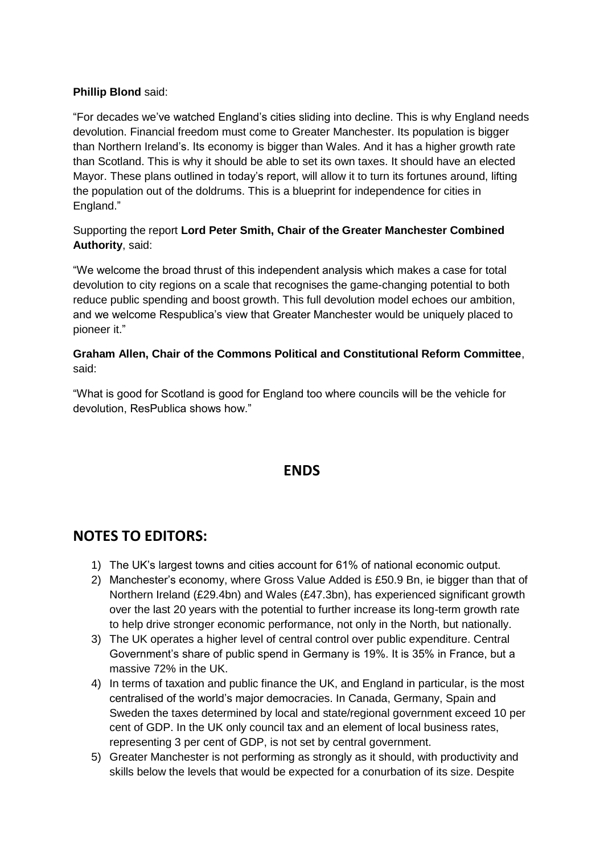#### **Phillip Blond** said:

"For decades we've watched England's cities sliding into decline. This is why England needs devolution. Financial freedom must come to Greater Manchester. Its population is bigger than Northern Ireland's. Its economy is bigger than Wales. And it has a higher growth rate than Scotland. This is why it should be able to set its own taxes. It should have an elected Mayor. These plans outlined in today's report, will allow it to turn its fortunes around, lifting the population out of the doldrums. This is a blueprint for independence for cities in England."

#### Supporting the report **Lord Peter Smith, Chair of the Greater Manchester Combined Authority**, said:

"We welcome the broad thrust of this independent analysis which makes a case for total devolution to city regions on a scale that recognises the game-changing potential to both reduce public spending and boost growth. This full devolution model echoes our ambition, and we welcome Respublica's view that Greater Manchester would be uniquely placed to pioneer it."

#### **Graham Allen, Chair of the Commons Political and Constitutional Reform Committee**, said:

"What is good for Scotland is good for England too where councils will be the vehicle for devolution, ResPublica shows how."

## **ENDS**

## **NOTES TO EDITORS:**

- 1) The UK's largest towns and cities account for 61% of national economic output.
- 2) Manchester's economy, where Gross Value Added is £50.9 Bn, ie bigger than that of Northern Ireland (£29.4bn) and Wales (£47.3bn), has experienced significant growth over the last 20 years with the potential to further increase its long-term growth rate to help drive stronger economic performance, not only in the North, but nationally.
- 3) The UK operates a higher level of central control over public expenditure. Central Government's share of public spend in Germany is 19%. It is 35% in France, but a massive 72% in the UK.
- 4) In terms of taxation and public finance the UK, and England in particular, is the most centralised of the world's major democracies. In Canada, Germany, Spain and Sweden the taxes determined by local and state/regional government exceed 10 per cent of GDP. In the UK only council tax and an element of local business rates, representing 3 per cent of GDP, is not set by central government.
- 5) Greater Manchester is not performing as strongly as it should, with productivity and skills below the levels that would be expected for a conurbation of its size. Despite